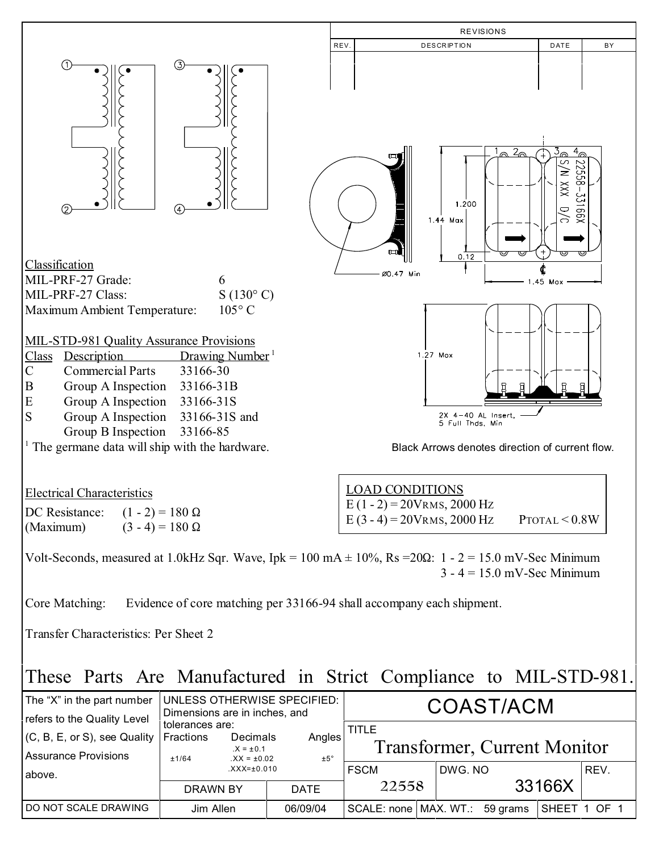

| refers to the Quality Level                             | Dimensions are in inches, and                                                          |                   |               | <b>UUAJI/AUM</b>                                    |  |         |  |              |      |  |
|---------------------------------------------------------|----------------------------------------------------------------------------------------|-------------------|---------------|-----------------------------------------------------|--|---------|--|--------------|------|--|
| $(C, B, E, or S)$ , see Quality<br>Assurance Provisions | tolerances are:<br>Fractions<br>Decimals<br>$X = \pm 0.1$<br>$.XX = \pm 0.02$<br>±1/64 |                   | Angles<br>±5° | <b>TITLE</b><br><b>Transformer, Current Monitor</b> |  |         |  |              |      |  |
| l above.                                                |                                                                                        | $XXX = \pm 0.010$ |               | <b>FSCM</b>                                         |  | DWG. NO |  |              | REV. |  |
|                                                         | <b>DRAWN BY</b>                                                                        |                   | <b>DATE</b>   | 22558                                               |  | 33166X  |  |              |      |  |
| I DO NOT SCALE DRAWING                                  | Jim Allen                                                                              |                   | 06/09/04      | SCALE: none   MAX. WT.: 59 grams                    |  |         |  | SHEET 1 OF 1 |      |  |